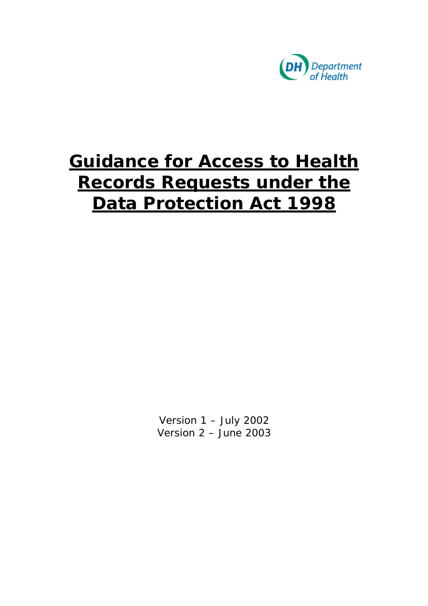

# **Guidance for Access to Health Records Requests under the Data Protection Act 1998**

Version 1 – July 2002 Version 2 – June 2003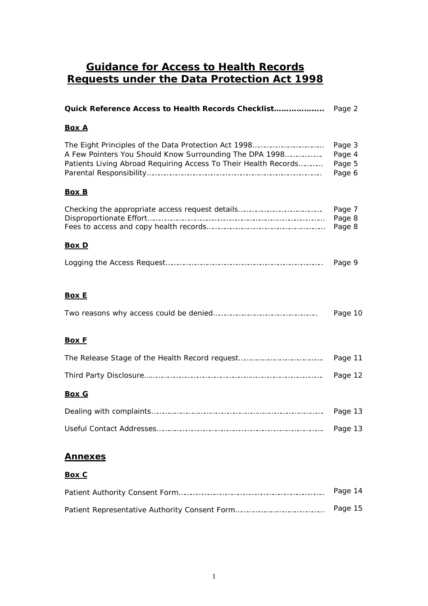## **Guidance for Access to Health Records Requests under the Data Protection Act 1998**

| <u>Box A</u>                                                                                                               |                                      |
|----------------------------------------------------------------------------------------------------------------------------|--------------------------------------|
| A Few Pointers You Should Know Surrounding The DPA 1998<br>Patients Living Abroad Requiring Access To Their Health Records | Page 3<br>Page 4<br>Page 5<br>Page 6 |
| <b>Box B</b>                                                                                                               |                                      |
|                                                                                                                            | Page 7<br>Page 8<br>Page 8           |
| <u>Box D</u>                                                                                                               |                                      |
|                                                                                                                            | Page 9                               |
| <b>Box E</b>                                                                                                               | Page 10                              |
| <b>Box F</b>                                                                                                               |                                      |
|                                                                                                                            | Page 11                              |
|                                                                                                                            | Page 12                              |
| <b>Box G</b>                                                                                                               |                                      |
|                                                                                                                            | Page 13                              |
|                                                                                                                            | Page 13                              |
| <u>Annexes</u><br>Box C                                                                                                    |                                      |

| Page 14 |
|---------|
| Page 15 |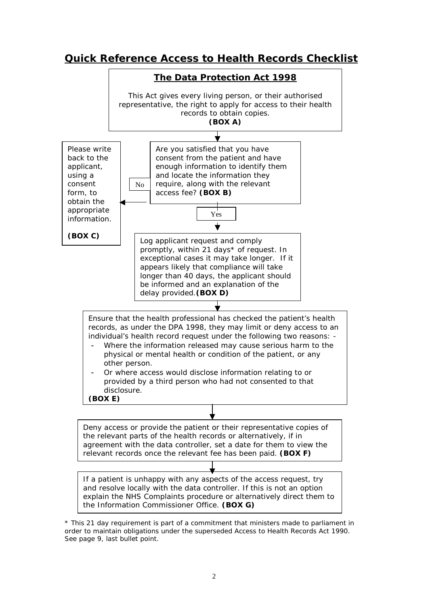## **Quick Reference Access to Health Records Checklist**



\* This 21 day requirement is part of a commitment that ministers made to parliament in order to maintain obligations under the superseded Access to Health Records Act 1990. See page 9, last bullet point.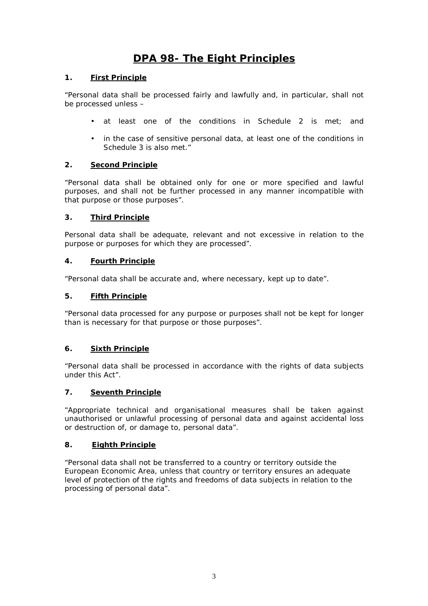## **DPA 98- The Eight Principles**

#### **1. First Principle**

"Personal data shall be processed fairly and lawfully and, in particular, shall not be processed unless –

- at least one of the conditions in Schedule 2 is met; and
- • in the case of sensitive personal data, at least one of the conditions in Schedule 3 is also met."

#### **2. Second Principle**

 "Personal data shall be obtained only for one or more specified and lawful purposes, and shall not be further processed in any manner incompatible with that purpose or those purposes".

#### **3. Third Principle**

Personal data shall be adequate, relevant and not excessive in relation to the purpose or purposes for which they are processed".

#### **4. Fourth Principle**

"Personal data shall be accurate and, where necessary, kept up to date".

#### **5. Fifth Principle**

"Personal data processed for any purpose or purposes shall not be kept for longer than is necessary for that purpose or those purposes".

#### **6. Sixth Principle**

 "Personal data shall be processed in accordance with the rights of data subjects under this Act".

#### **7. Seventh Principle**

 "Appropriate technical and organisational measures shall be taken against unauthorised or unlawful processing of personal data and against accidental loss or destruction of, or damage to, personal data".

#### **8. Eighth Principle**

"Personal data shall not be transferred to a country or territory outside the European Economic Area, unless that country or territory ensures an adequate level of protection of the rights and freedoms of data subjects in relation to the processing of personal data".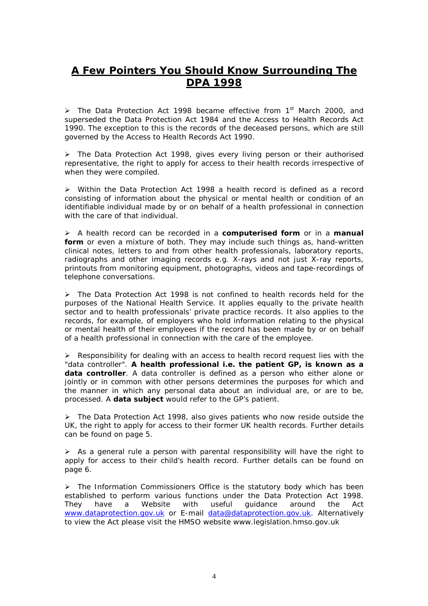## **A Few Pointers You Should Know Surrounding The DPA 1998**

 $\triangleright$  The Data Protection Act 1998 became effective from 1<sup>st</sup> March 2000, and 1990. The exception to this is the records of the deceased persons, which are still superseded the Data Protection Act 1984 and the Access to Health Records Act governed by the Access to Health Records Act 1990.

 representative, the right to apply for access to their health records irrespective of  $\triangleright$  The Data Protection Act 1998, gives every living person or their authorised when they were compiled.

• Within the Data Protection Act 1998 a health record is defined as a record consisting of information about the physical or mental health or condition of an identifiable individual made by or on behalf of a health professional in connection with the care of that individual.

 • A health record can be recorded in a **computerised form** or in a **manual form** or even a mixture of both. They may include such things as, hand-written radiographs and other imaging records e.g. X-rays and not just X-ray reports, clinical notes, letters to and from other health professionals, laboratory reports, printouts from monitoring equipment, photographs, videos and tape-recordings of telephone conversations.

 sector and to health professionals' private practice records. It also applies to the records, for example, of employers who hold information relating to the physical or mental health of their employees if the record has been made by or on behalf of a health professional in connection with the care of the employee.  $\triangleright$  The Data Protection Act 1998 is not confined to health records held for the purposes of the National Health Service. It applies equally to the private health

 "data controller". **A health professional i.e. the patient GP, is known as a data controller**. A data controller is defined as a person who either alone or jointly or in common with other persons determines the purposes for which and the manner in which any personal data about an individual are, or are to be,  $\triangleright$  Responsibility for dealing with an access to health record request lies with the processed. A **data subject** would refer to the GP's patient.

 $\triangleright$  The Data Protection Act 1998, also gives patients who now reside outside the UK, the right to apply for access to their former UK health records. Further details can be found on page 5.

 apply for access to their child's health record. Further details can be found on  $\triangleright$  As a general rule a person with parental responsibility will have the right to page 6.

useful  $\triangleright$  The Information Commissioners Office is the statutory body which has been established to perform various functions under the Data Protection Act 1998. They have a Website with useful guidance around the Act <www.dataprotection.gov.uk>or E-mail data@dataprotection.gov.uk. Alternatively to view the Act please visit the HMSO website<www.legislation.hmso.gov.uk>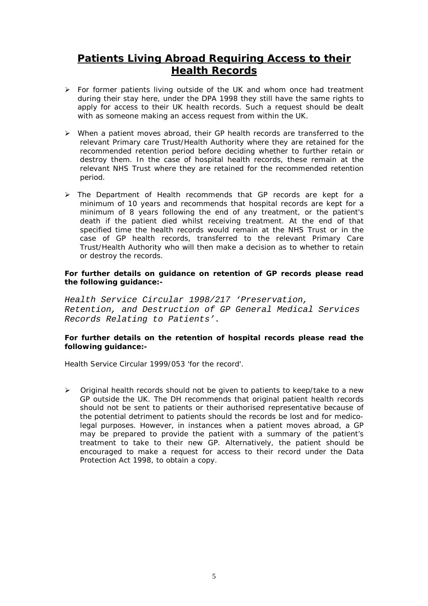## **Patients Living Abroad Requiring Access to their Health Records**

- $\triangleright$  For former patients living outside of the UK and whom once had treatment during their stay here, under the DPA 1998 they still have the same rights to apply for access to their UK health records. Such a request should be dealt with as someone making an access request from within the UK.
- relevant Primary care Trust/Health Authority where they are retained for the destroy them. In the case of hospital health records, these remain at the  $\triangleright$  When a patient moves abroad, their GP health records are transferred to the recommended retention period before deciding whether to further retain or relevant NHS Trust where they are retained for the recommended retention period.
- $\triangleright$  The Department of Health recommends that GP records are kept for a death if the patient died whilst receiving treatment. At the end of that Trust/Health Authority who will then make a decision as to whether to retain minimum of 10 years and recommends that hospital records are kept for a minimum of 8 years following the end of any treatment, or the patient's specified time the health records would remain at the NHS Trust or in the case of GP health records, transferred to the relevant Primary Care or destroy the records.

#### *For further details on guidance on retention of GP records please read the following guidance:-*

Health Service Circular 1998/217 'Preservation, Retention, and Destruction of GP General Medical Services Records Relating to Patients'.

#### For further details on the retention of hospital records please read the *following guidance:-*

*Health Service Circular 1999/053 'for the record'.* 

 should not be sent to patients or their authorised representative because of legal purposes. However, in instances when a patient moves abroad, a GP may be prepared to provide the patient with a summary of the patient's treatment to take to their new GP. Alternatively, the patient should be encouraged to make a request for access to their record under the Data  $\triangleright$  Original health records should not be given to patients to keep/take to a new GP outside the UK. The DH recommends that original patient health records the potential detriment to patients should the records be lost and for medico-Protection Act 1998, to obtain a copy.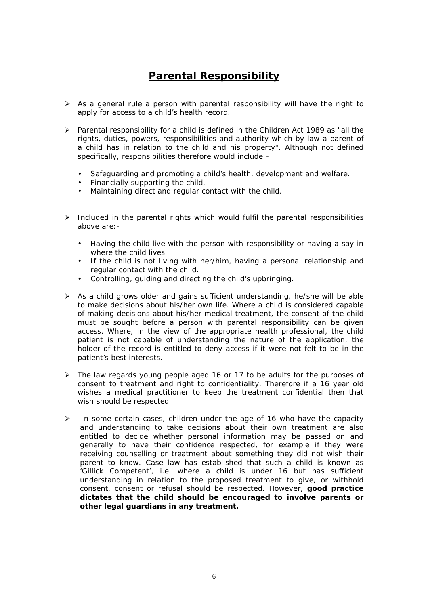## **Parental Responsibility**

- $\triangleright$  As a general rule a person with parental responsibility will have the right to apply for access to a child's health record.
- $\triangleright$  Parental responsibility for a child is defined in the Children Act 1989 as "all the rights, duties, powers, responsibilities and authority which by law a parent of a child has in relation to the child and his property". Although not defined specifically, responsibilities therefore would include:-
	- Safeguarding and promoting a child's health, development and welfare.
	- Financially supporting the child.
	- Maintaining direct and regular contact with the child.
- $\triangleright$  Included in the parental rights which would fulfil the parental responsibilities above are:-
	- • Having the child live with the person with responsibility or having a say in where the child lives.
	- If the child is not living with her/him, having a personal relationship and regular contact with the child.
	- Controlling, guiding and directing the child's upbringing.
- to make decisions about his/her own life. Where a child is considered capable of making decisions about his/her medical treatment, the consent of the child holder of the record is entitled to deny access if it were not felt to be in the  $\triangleright$  As a child grows older and gains sufficient understanding, he/she will be able must be sought before a person with parental responsibility can be given access. Where, in the view of the appropriate health professional, the child patient is not capable of understanding the nature of the application, the patient's best interests.
- $\triangleright$  The law regards young people aged 16 or 17 to be adults for the purposes of consent to treatment and right to confidentiality. Therefore if a 16 year old wishes a medical practitioner to keep the treatment confidential then that wish should be respected.
- $\triangleright$  In some certain cases, children under the age of 16 who have the capacity entitled to decide whether personal information may be passed on and generally to have their confidence respected, for example if they were 'Gillick Competent', i.e. where a child is under 16 but has sufficient and understanding to take decisions about their own treatment are also receiving counselling or treatment about something they did not wish their parent to know. Case law has established that such a child is known as understanding in relation to the proposed treatment to give, or withhold consent, consent or refusal should be respected. However, **good practice dictates that the child should be encouraged to involve parents or other legal guardians in any treatment.**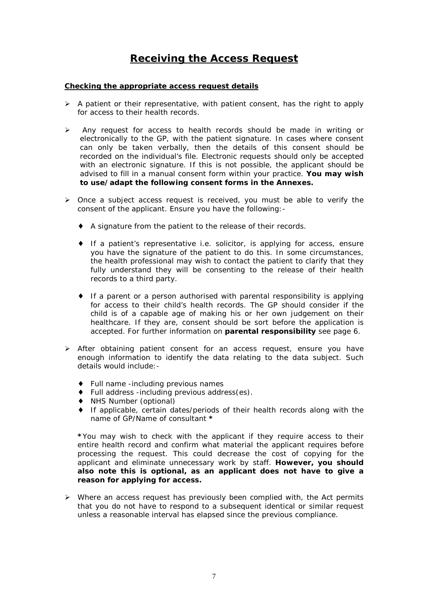## **Receiving the Access Request**

#### **Checking the appropriate access request details**

- $\triangleright$  A patient or their representative, with patient consent, has the right to apply for access to their health records.
- $\triangleright$  Any request for access to health records should be made in writing or recorded on the individual's file. Electronic requests should only be accepted electronically to the GP, with the patient signature. In cases where consent can only be taken verbally, then the details of this consent should be with an electronic signature. If this is not possible, the applicant should be advised to fill in a manual consent form within your practice. **You may wish to use/adapt the following consent forms in the Annexes.**
- $\triangleright$  Once a subject access request is received, you must be able to verify the consent of the applicant. Ensure you have the following:-
	- ♦ A signature from the patient to the release of their records.
	- fully understand they will be consenting to the release of their health ♦ If a patient's representative i.e. solicitor, is applying for access, ensure you have the signature of the patient to do this. In some circumstances, the health professional may wish to contact the patient to clarify that they records to a third party.
	- healthcare. If they are, consent should be sort before the application is ♦ If a parent or a person authorised with parental responsibility is applying for access to their child's health records. The GP should consider if the child is of a capable age of making his or her own judgement on their accepted. For further information on **parental responsibility** see page 6.
- $\triangleright$  After obtaining patient consent for an access request, ensure you have enough information to identify the data relating to the data subject. Such details would include:-
	- ♦ Full name -including previous names
	- ♦ Full address -including previous address(es).
	- ♦ NHS Number (optional)
	- ♦ If applicable, certain dates/periods of their health records along with the name of GP/Name of consultant **\***

 **\***You may wish to check with the applicant if they require access to their processing the request. This could decrease the cost of copying for the applicant and eliminate unnecessary work by staff. **However, you should also note this is optional, as an applicant does not have to give a**  entire health record and confirm what material the applicant requires before **reason for applying for access.** 

 that you do not have to respond to a subsequent identical or similar request  $\triangleright$  Where an access request has previously been complied with, the Act permits unless a reasonable interval has elapsed since the previous compliance.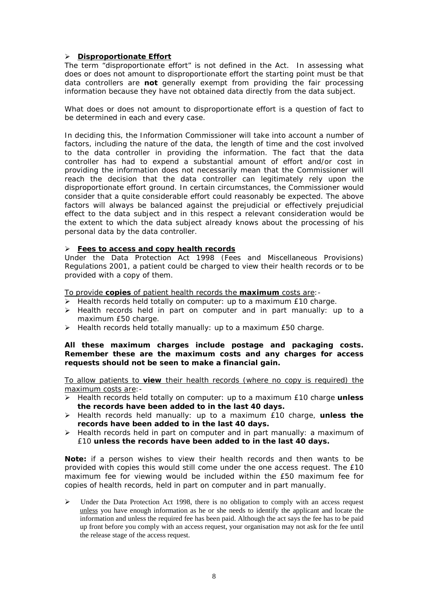#### • **Disproportionate Effort**

 The term "disproportionate effort" is not defined in the Act. In assessing what does or does not amount to disproportionate effort the starting point must be that data controllers are **not** generally exempt from providing the fair processing information because they have not obtained data directly from the data subject.

What does or does not amount to disproportionate effort is a question of fact to be determined in each and every case.

 In deciding this, the Information Commissioner will take into account a number of factors, including the nature of the data, the length of time and the cost involved to the data controller in providing the information. The fact that the data controller has had to expend a substantial amount of effort and/or cost in consider that a quite considerable effort could reasonably be expected. The above effect to the data subject and in this respect a relevant consideration would be providing the information does not necessarily mean that the Commissioner will reach the decision that the data controller can legitimately rely upon the disproportionate effort ground. In certain circumstances, the Commissioner would factors will always be balanced against the prejudicial or effectively prejudicial the extent to which the data subject already knows about the processing of his personal data by the data controller.

#### • **Fees to access and copy health records**

Under the Data Protection Act 1998 (Fees and Miscellaneous Provisions) Regulations 2001, a patient could be charged to view their health records or to be provided with a copy of them.

To provide **copies** of patient health records the **maximum** costs are:-

- $\triangleright$  Health records held totally on computer: up to a maximum £10 charge.
- $\triangleright$  Health records held in part on computer and in part manually: up to a maximum £50 charge.
- $\triangleright$  Health records held totally manually: up to a maximum £50 charge.

#### **All these maximum charges include postage and packaging costs. Remember these are the maximum costs and any charges for access requests should not be seen to make a financial gain.**

To allow patients to **view** their health records (where no copy is required) the maximum costs are:-

- Health records held totally on computer: up to a maximum £10 charge **unless the records have been added to in the last 40 days.**
- Health records held manually: up to a maximum £10 charge, **unless the records have been added to in the last 40 days.**
- $\triangleright$  Health records held in part on computer and in part manually: a maximum of £10 **unless the records have been added to in the last 40 days.**

 **Note:** if a person wishes to view their health records and then wants to be provided with copies this would still come under the one access request. The £10 maximum fee for viewing would be included within the £50 maximum fee for copies of health records, held in part on computer and in part manually.

unless you have enough information as he or she needs to identify the applicant and locate the information and unless the required fee has been paid. Although the act says the fee has to be paid up front before you comply with an access request, your organisation may not ask for the fee until  $\triangleright$  Under the Data Protection Act 1998, there is no obligation to comply with an access request the release stage of the access request.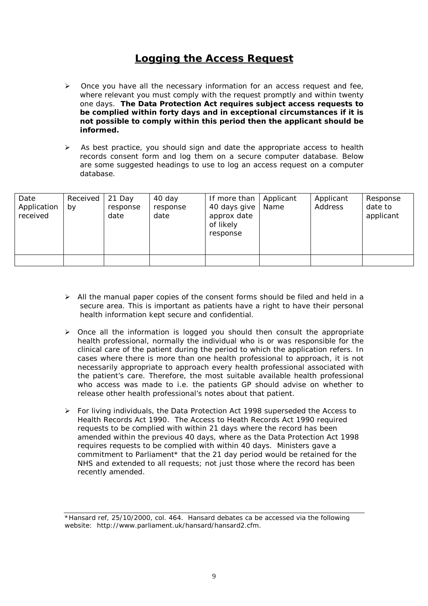## **Logging the Access Request**

- one days. **The Data Protection Act requires subject access requests to be complied within forty days and in exceptional circumstances if it is**   $\triangleright$  Once you have all the necessary information for an access request and fee, where relevant you must comply with the request promptly and within twenty **not possible to comply within this period then the applicant should be informed.**
- $\triangleright$  As best practice, you should sign and date the appropriate access to health records consent form and log them on a secure computer database. Below are some suggested headings to use to log an access request on a computer database.

| Date<br>Application<br>received | Received<br>by | 21 Day<br>response<br>date | 40 day<br>response<br>date | If more than<br>40 days give<br>approx date<br>of likely<br>response | Applicant<br>Name | Applicant<br>Address | Response<br>date to<br>applicant |
|---------------------------------|----------------|----------------------------|----------------------------|----------------------------------------------------------------------|-------------------|----------------------|----------------------------------|
|                                 |                |                            |                            |                                                                      |                   |                      |                                  |

- $\triangleright$  All the manual paper copies of the consent forms should be filed and held in a secure area. This is important as patients have a right to have their personal health information kept secure and confidential.
- $\triangleright$  Once all the information is logged you should then consult the appropriate who access was made to i.e. the patients GP should advise on whether to health professional, normally the individual who is or was responsible for the clinical care of the patient during the period to which the application refers. In cases where there is more than one health professional to approach, it is not necessarily appropriate to approach every health professional associated with the patient's care. Therefore, the most suitable available health professional release other health professional's notes about that patient.
- Health Records Act 1990. The Access to Heath Records Act 1990 required • For living individuals, the Data Protection Act 1998 superseded the Access to requests to be complied with within 21 days where the record has been amended within the previous 40 days, where as the Data Protection Act 1998 requires requests to be complied with within 40 days. Ministers gave a commitment to Parliament\* that the 21 day period would be retained for the NHS and extended to all requests; not just those where the record has been recently amended.

<sup>\*</sup>Hansard ref, 25/10/2000, col. 464. Hansard debates ca be accessed via the following website: <http://www.parliament.uk/hansard/hansard2.cfm>.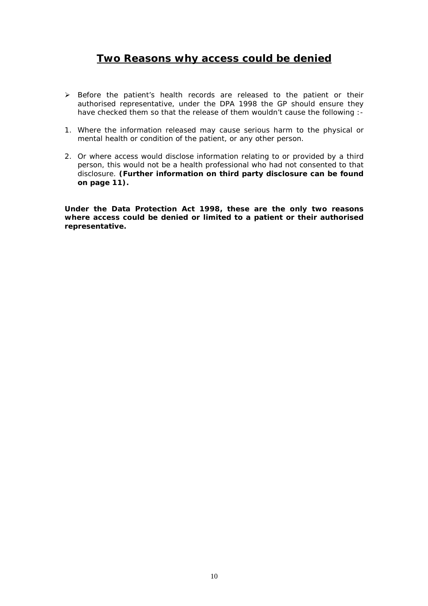## **Two Reasons why access could be denied**

- authorised representative, under the DPA 1998 the GP should ensure they  $\triangleright$  Before the patient's health records are released to the patient or their have checked them so that the release of them wouldn't cause the following :-
- 1. Where the information released may cause serious harm to the physical or mental health or condition of the patient, or any other person.
- 2. Or where access would disclose information relating to or provided by a third person, this would not be a health professional who had not consented to that disclosure. **(Further information on third party disclosure can be found on page 11).**

**Under the Data Protection Act 1998, these are the only two reasons where access could be denied or limited to a patient or their authorised representative.**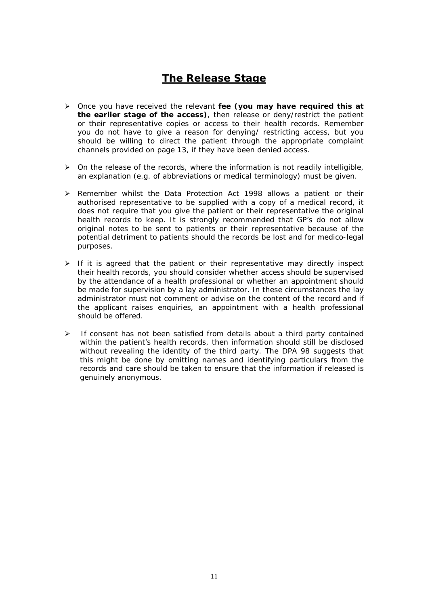## **The Release Stage**

- Once you have received the relevant **fee (you may have required this at the earlier stage of the access)**, then release or deny/restrict the patient or their representative copies or access to their health records. Remember you do not have to give a reason for denying/ restricting access, but you should be willing to direct the patient through the appropriate complaint channels provided on page 13, if they have been denied access.
- $\triangleright$  On the release of the records, where the information is not readily intelligible, an explanation (e.g. of abbreviations or medical terminology) must be given.
- authorised representative to be supplied with a copy of a medical record, it does not require that you give the patient or their representative the original original notes to be sent to patients or their representative because of the  $\triangleright$  Remember whilst the Data Protection Act 1998 allows a patient or their health records to keep. It is strongly recommended that GP's do not allow potential detriment to patients should the records be lost and for medico-legal purposes.
- by the attendance of a health professional or whether an appointment should administrator must not comment or advise on the content of the record and if  $\triangleright$  If it is agreed that the patient or their representative may directly inspect their health records, you should consider whether access should be supervised be made for supervision by a lay administrator. In these circumstances the lay the applicant raises enquiries, an appointment with a health professional should be offered.
- within the patient's health records, then information should still be disclosed this might be done by omitting names and identifying particulars from the  $\triangleright$  If consent has not been satisfied from details about a third party contained without revealing the identity of the third party. The DPA 98 suggests that records and care should be taken to ensure that the information if released is genuinely anonymous.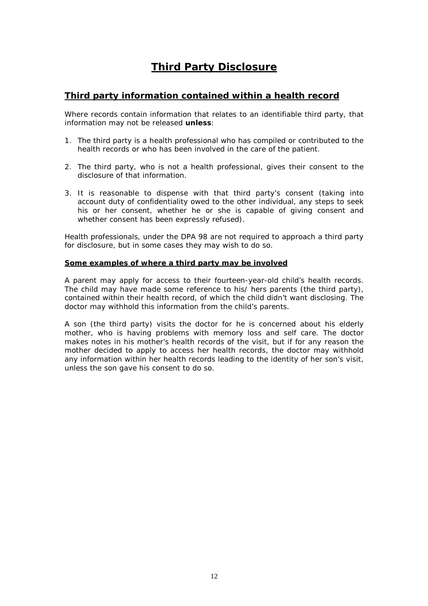## **Third Party Disclosure**

### **Third party information contained within a health record**

Where records contain information that relates to an identifiable third party, that information may not be released **unless**:

- 1. The third party is a health professional who has compiled or contributed to the health records or who has been involved in the care of the patient.
- 2. The third party, who is not a health professional, gives their consent to the disclosure of that information.
- account duty of confidentiality owed to the other individual, any steps to seek his or her consent, whether he or she is capable of giving consent and 3. It is reasonable to dispense with that third party's consent (taking into whether consent has been expressly refused).

 Health professionals, under the DPA 98 are not required to approach a third party for disclosure, but in some cases they may wish to do so.

#### **Some examples of where a third party may be involved**

 contained within their health record, of which the child didn't want disclosing. The A parent may apply for access to their fourteen-year-old child's health records. The child may have made some reference to his/ hers parents (the third party), doctor may withhold this information from the child's parents.

 A son (the third party) visits the doctor for he is concerned about his elderly makes notes in his mother's health records of the visit, but if for any reason the mother decided to apply to access her health records, the doctor may withhold any information within her health records leading to the identity of her son's visit, mother, who is having problems with memory loss and self care. The doctor unless the son gave his consent to do so.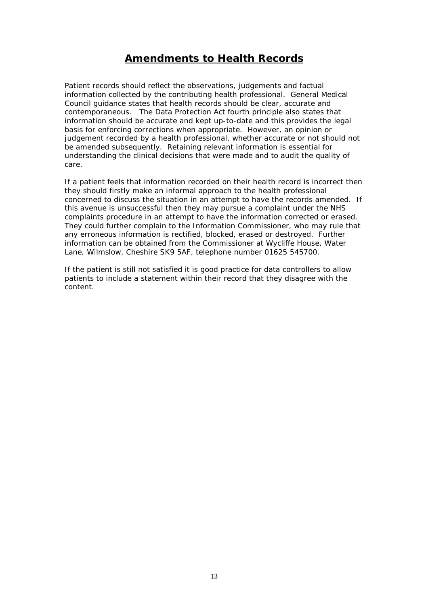## **Amendments to Health Records**

Patient records should reflect the observations, judgements and factual information collected by the contributing health professional. General Medical Council guidance states that health records should be clear, accurate and contemporaneous. The Data Protection Act fourth principle also states that information should be accurate and kept up-to-date and this provides the legal basis for enforcing corrections when appropriate. However, an opinion or judgement recorded by a health professional, whether accurate or not should not be amended subsequently. Retaining relevant information is essential for understanding the clinical decisions that were made and to audit the quality of care.

 concerned to discuss the situation in an attempt to have the records amended. If If a patient feels that information recorded on their health record is incorrect then they should firstly make an informal approach to the health professional this avenue is unsuccessful then they may pursue a complaint under the NHS complaints procedure in an attempt to have the information corrected or erased. They could further complain to the Information Commissioner, who may rule that any erroneous information is rectified, blocked, erased or destroyed. Further information can be obtained from the Commissioner at Wycliffe House, Water Lane, Wilmslow, Cheshire SK9 5AF, telephone number 01625 545700.

If the patient is still not satisfied it is good practice for data controllers to allow patients to include a statement within their record that they disagree with the content.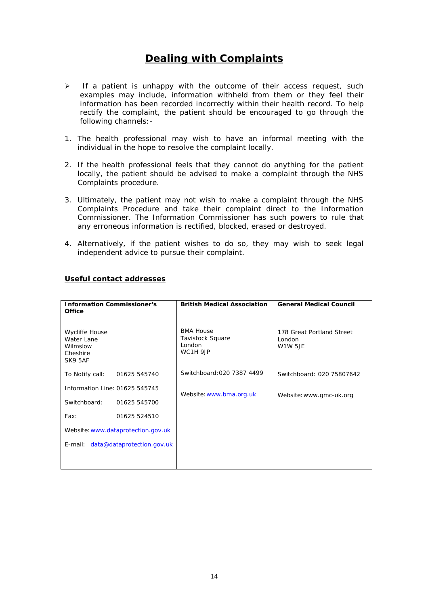## **Dealing with Complaints**

- examples may include, information withheld from them or they feel their  $\triangleright$  If a patient is unhappy with the outcome of their access request, such information has been recorded incorrectly within their health record. To help rectify the complaint, the patient should be encouraged to go through the following channels:-
- 1. The health professional may wish to have an informal meeting with the individual in the hope to resolve the complaint locally.
- locally, the patient should be advised to make a complaint through the NHS 2. If the health professional feels that they cannot do anything for the patient Complaints procedure.
- Commissioner. The Information Commissioner has such powers to rule that 3. Ultimately, the patient may not wish to make a complaint through the NHS Complaints Procedure and take their complaint direct to the Information any erroneous information is rectified, blocked, erased or destroyed.
- 4. Alternatively, if the patient wishes to do so, they may wish to seek legal independent advice to pursue their complaint.

| <b>Information Commissioner's</b><br>Office                            |              | <b>British Medical Association</b>                         | <b>General Medical Council</b>                        |  |
|------------------------------------------------------------------------|--------------|------------------------------------------------------------|-------------------------------------------------------|--|
| <b>Wycliffe House</b><br>Water Lane<br>Wilmslow<br>Cheshire<br>SK9 5AF |              | <b>BMA House</b><br>Tavistock Square<br>London<br>WC1H 9JP | 178 Great Portland Street<br>London<br><b>W1W 5JE</b> |  |
| To Notify call:                                                        | 01625 545740 | Switchboard: 020 7387 4499                                 | Switchboard: 020 75807642                             |  |
| Information Line: 01625 545745                                         |              | Website: www.bma.org.uk                                    | Website: www.gmc-uk.org                               |  |
| Switchboard:                                                           | 01625 545700 |                                                            |                                                       |  |
| Fax:                                                                   | 01625 524510 |                                                            |                                                       |  |
| Website: www.dataprotection.gov.uk                                     |              |                                                            |                                                       |  |
| E-mail: data@dataprotection.gov.uk                                     |              |                                                            |                                                       |  |
|                                                                        |              |                                                            |                                                       |  |

#### **Useful contact addresses**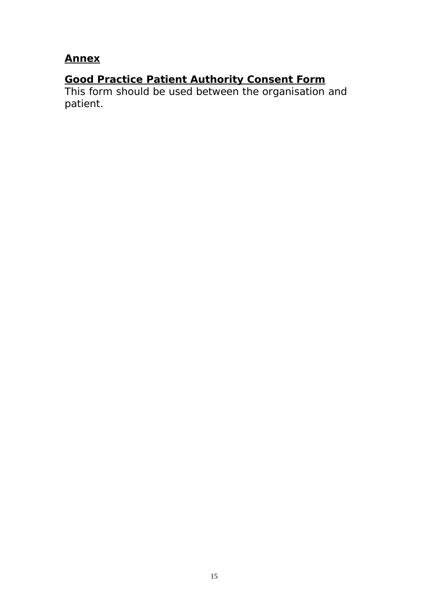## **Annex**

## **Good Practice Patient Authority Consent Form**

This form should be used between the organisation and patient.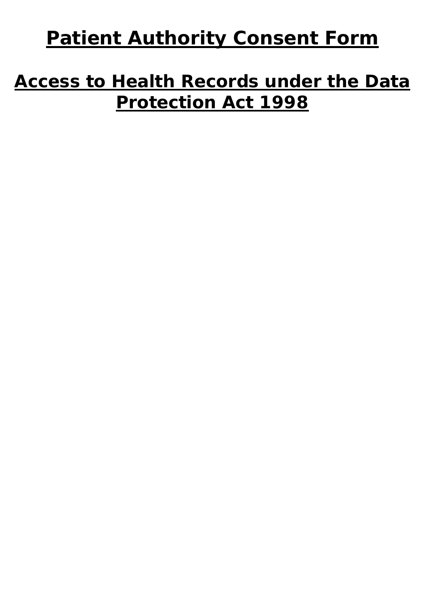# **Patient Authority Consent Form**

# **Access to Health Records under the Data Protection Act 1998**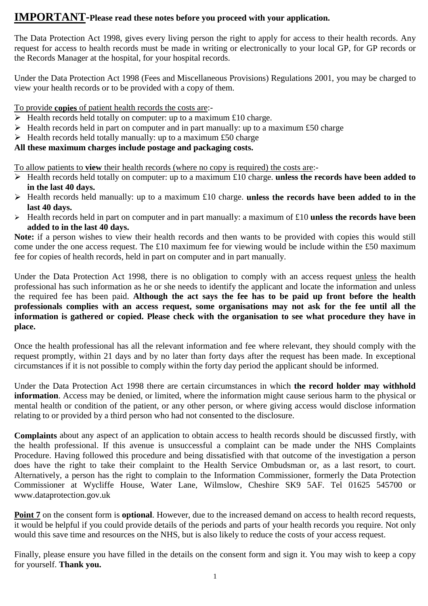## **IMPORTANT-Please read these notes before you proceed with your application.**

The Data Protection Act 1998, gives every living person the right to apply for access to their health records. Any request for access to health records must be made in writing or electronically to your local GP, for GP records or the Records Manager at the hospital, for your hospital records.

Under the Data Protection Act 1998 (Fees and Miscellaneous Provisions) Regulations 2001, you may be charged to view your health records or to be provided with a copy of them.

To provide **copies** of patient health records the costs are:-

- $\triangleright$  Health records held totally on computer: up to a maximum £10 charge.
- $\triangleright$  Health records held in part on computer and in part manually: up to a maximum £50 charge
- $\triangleright$  Health records held totally manually: up to a maximum £50 charge

## **All these maximum charges include postage and packaging costs.**

To allow patients to **view** their health records (where no copy is required) the costs are:-

- Health records held totally on computer: up to a maximum £10 charge. **unless the records have been added to in the last 40 days.**
- Health records held manually: up to a maximum £10 charge. **unless the records have been added to in the last 40 days.**
- Health records held in part on computer and in part manually: a maximum of £10 **unless the records have been added to in the last 40 days.**

**Note:** if a person wishes to view their health records and then wants to be provided with copies this would still come under the one access request. The £10 maximum fee for viewing would be include within the £50 maximum fee for copies of health records, held in part on computer and in part manually.

 **information is gathered or copied. Please check with the organisation to see what procedure they have in**  Under the Data Protection Act 1998, there is no obligation to comply with an access request unless the health professional has such information as he or she needs to identify the applicant and locate the information and unless the required fee has been paid. **Although the act says the fee has to be paid up front before the health professionals complies with an access request, some organisations may not ask for the fee until all the place.** 

Once the health professional has all the relevant information and fee where relevant, they should comply with the request promptly, within 21 days and by no later than forty days after the request has been made. In exceptional circumstances if it is not possible to comply within the forty day period the applicant should be informed.

 **information**. Access may be denied, or limited, where the information might cause serious harm to the physical or Under the Data Protection Act 1998 there are certain circumstances in which **the record holder may withhold**  mental health or condition of the patient, or any other person, or where giving access would disclose information relating to or provided by a third person who had not consented to the disclosure.

 the health professional. If this avenue is unsuccessful a complaint can be made under the NHS Complaints Alternatively, a person has the right to complain to the Information Commissioner, formerly the Data Protection **Complaints** about any aspect of an application to obtain access to health records should be discussed firstly, with Procedure. Having followed this procedure and being dissatisfied with that outcome of the investigation a person does have the right to take their complaint to the Health Service Ombudsman or, as a last resort, to court. Commissioner at Wycliffe House, Water Lane, Wilmslow, Cheshire SK9 5AF. Tel 01625 545700 or <www.dataprotection.gov.uk>

**Point 7** on the consent form is **optional**. However, due to the increased demand on access to health record requests, it would be helpful if you could provide details of the periods and parts of your health records you require. Not only would this save time and resources on the NHS, but is also likely to reduce the costs of your access request.

 Finally, please ensure you have filled in the details on the consent form and sign it. You may wish to keep a copy for yourself. **Thank you.**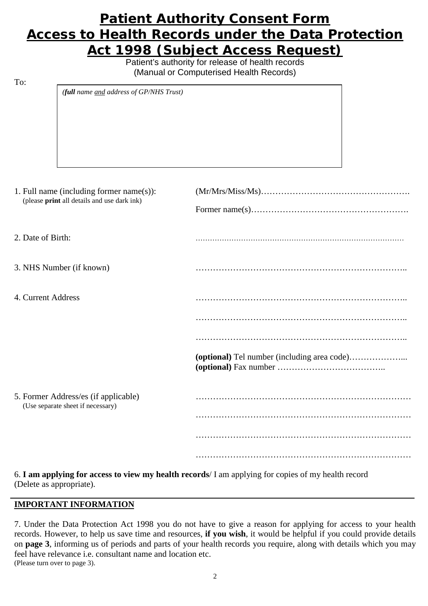## **Patient Authority Consent Form Access to Health Records under the Data Protection Act 1998 (Subject Access Request)**

Patient's authority for release of health records (Manual or Computerised Health Records)

To:

*(full name and address of GP/NHS Trust)* 

| 1. Full name (including former name(s)):<br>(please print all details and use dark ink) |  |
|-----------------------------------------------------------------------------------------|--|
| 2. Date of Birth:                                                                       |  |
| 3. NHS Number (if known)                                                                |  |
| 4. Current Address                                                                      |  |
|                                                                                         |  |
|                                                                                         |  |
|                                                                                         |  |
| 5. Former Address/es (if applicable)<br>(Use separate sheet if necessary)               |  |
|                                                                                         |  |
|                                                                                         |  |
|                                                                                         |  |

 6. **I am applying for access to view my health records**/ I am applying for copies of my health record (Delete as appropriate).

### **IMPORTANT INFORMATION**

7. Under the Data Protection Act 1998 you do not have to give a reason for applying for access to your health records. However, to help us save time and resources, **if you wish**, it would be helpful if you could provide details on **page 3**, informing us of periods and parts of your health records you require, along with details which you may feel have relevance i.e. consultant name and location etc. (Please turn over to page 3).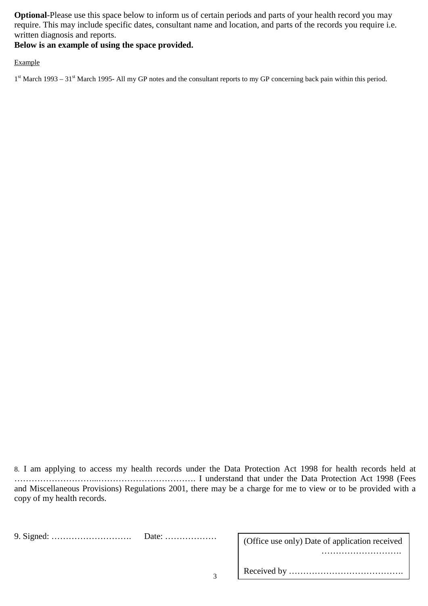**Optional**-Please use this space below to inform us of certain periods and parts of your health record you may require. This may include specific dates, consultant name and location, and parts of the records you require i.e. written diagnosis and reports.

## **Below is an example of using the space provided.**

Example

 $1<sup>st</sup>$  March 1993 – 31<sup>st</sup> March 1995- All my GP notes and the consultant reports to my GP concerning back pain within this period.

8. I am applying to access my health records under the Data Protection Act 1998 for health records held at ………………………...……………………………. I understand that under the Data Protection Act 1998 (Fees and Miscellaneous Provisions) Regulations 2001, there may be a charge for me to view or to be provided with a copy of my health records.

|  | (Office use only) Date of application received |
|--|------------------------------------------------|
|  |                                                |
|  |                                                |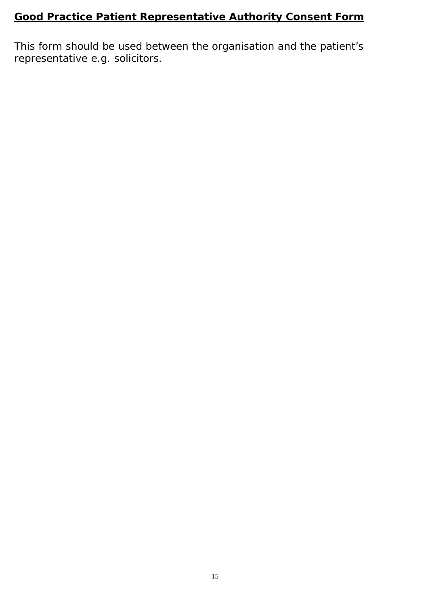## **Good Practice Patient Representative Authority Consent Form**

This form should be used between the organisation and the patient's representative e.g. solicitors.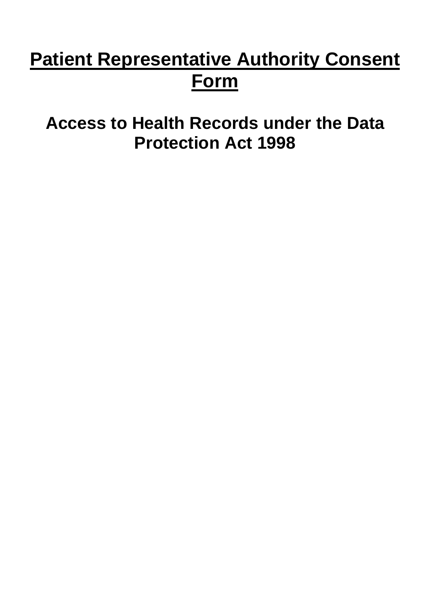# **Patient Representative Authority Consent Form**

**Access to Health Records under the Data Protection Act 1998**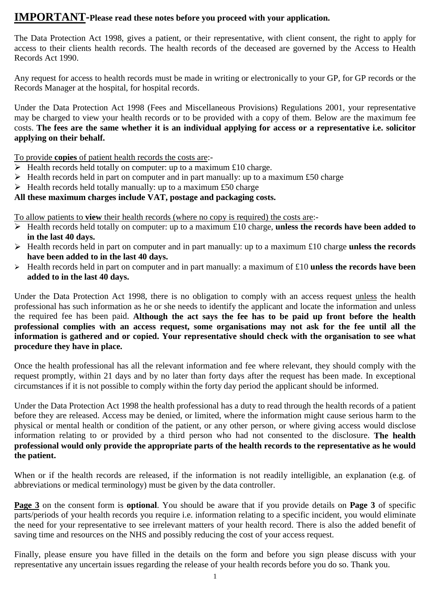## **IMPORTANT-Please read these notes before you proceed with your application.**

The Data Protection Act 1998, gives a patient, or their representative, with client consent, the right to apply for access to their clients health records. The health records of the deceased are governed by the Access to Health Records Act 1990.

Any request for access to health records must be made in writing or electronically to your GP, for GP records or the Records Manager at the hospital, for hospital records.

 may be charged to view your health records or to be provided with a copy of them. Below are the maximum fee Under the Data Protection Act 1998 (Fees and Miscellaneous Provisions) Regulations 2001, your representative costs. **The fees are the same whether it is an individual applying for access or a representative i.e. solicitor applying on their behalf.** 

To provide **copies** of patient health records the costs are:-

- $\triangleright$  Health records held totally on computer: up to a maximum £10 charge.
- $\triangleright$  Health records held in part on computer and in part manually: up to a maximum £50 charge
- $\triangleright$  Health records held totally manually: up to a maximum £50 charge

### **All these maximum charges include VAT, postage and packaging costs.**

To allow patients to **view** their health records (where no copy is required) the costs are:-

- Health records held totally on computer: up to a maximum £10 charge, **unless the records have been added to in the last 40 days.**
- Health records held in part on computer and in part manually: up to a maximum £10 charge **unless the records have been added to in the last 40 days.**
- Health records held in part on computer and in part manually: a maximum of £10 **unless the records have been added to in the last 40 days.**

Under the Data Protection Act 1998, there is no obligation to comply with an access request unless the health professional has such information as he or she needs to identify the applicant and locate the information and unless the required fee has been paid. **Although the act says the fee has to be paid up front before the health professional complies with an access request, some organisations may not ask for the fee until all the information is gathered and or copied. Your representative should check with the organisation to see what procedure they have in place.** 

Once the health professional has all the relevant information and fee where relevant, they should comply with the request promptly, within 21 days and by no later than forty days after the request has been made. In exceptional circumstances if it is not possible to comply within the forty day period the applicant should be informed.

 before they are released. Access may be denied, or limited, where the information might cause serious harm to the  **professional would only provide the appropriate parts of the health records to the representative as he would**  Under the Data Protection Act 1998 the health professional has a duty to read through the health records of a patient physical or mental health or condition of the patient, or any other person, or where giving access would disclose information relating to or provided by a third person who had not consented to the disclosure. **The health the patient.** 

When or if the health records are released, if the information is not readily intelligible, an explanation (e.g. of abbreviations or medical terminology) must be given by the data controller.

 parts/periods of your health records you require i.e. information relating to a specific incident, you would eliminate the need for your representative to see irrelevant matters of your health record. There is also the added benefit of **Page 3** on the consent form is **optional**. You should be aware that if you provide details on **Page 3** of specific saving time and resources on the NHS and possibly reducing the cost of your access request.

 Finally, please ensure you have filled in the details on the form and before you sign please discuss with your representative any uncertain issues regarding the release of your health records before you do so. Thank you.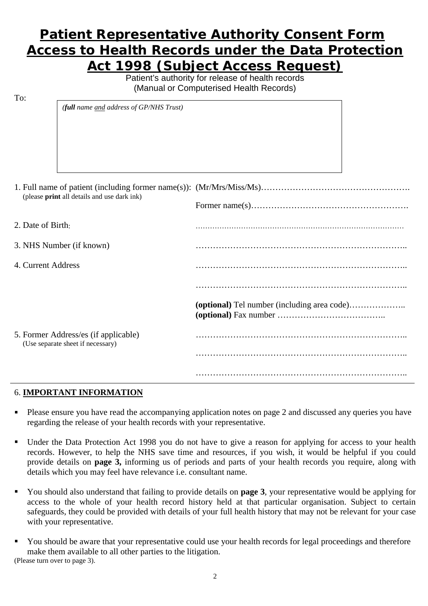## **Patient Representative Authority Consent Form Access to Health Records under the Data Protection Act 1998 (Subject Access Request)**

Patient's authority for release of health records (Manual or Computerised Health Records)

To:

|                                   | (full name and address of GP/NHS Trust)     |                                             |  |
|-----------------------------------|---------------------------------------------|---------------------------------------------|--|
|                                   |                                             |                                             |  |
|                                   |                                             |                                             |  |
|                                   |                                             |                                             |  |
|                                   |                                             |                                             |  |
|                                   |                                             |                                             |  |
|                                   |                                             |                                             |  |
|                                   |                                             |                                             |  |
|                                   |                                             |                                             |  |
|                                   | (please print all details and use dark ink) |                                             |  |
|                                   |                                             |                                             |  |
|                                   |                                             |                                             |  |
| 2. Date of Birth:                 |                                             |                                             |  |
|                                   |                                             |                                             |  |
|                                   | 3. NHS Number (if known)                    |                                             |  |
|                                   |                                             |                                             |  |
| 4. Current Address                |                                             |                                             |  |
|                                   |                                             |                                             |  |
|                                   |                                             |                                             |  |
|                                   |                                             |                                             |  |
|                                   |                                             | (optional) Tel number (including area code) |  |
|                                   |                                             |                                             |  |
|                                   |                                             |                                             |  |
|                                   | 5. Former Address/es (if applicable)        |                                             |  |
| (Use separate sheet if necessary) |                                             |                                             |  |
|                                   |                                             |                                             |  |
|                                   |                                             |                                             |  |

#### 6. **IMPORTANT INFORMATION**

 regarding the release of your health records with your representative. • Please ensure you have read the accompanying application notes on page 2 and discussed any queries you have

………………………………………………………………..

- Under the Data Protection Act 1998 you do not have to give a reason for applying for access to your health records. However, to help the NHS save time and resources, if you wish, it would be helpful if you could provide details on **page 3,** informing us of periods and parts of your health records you require, along with details which you may feel have relevance i.e. consultant name.
- You should also understand that failing to provide details on **page 3**, your representative would be applying for access to the whole of your health record history held at that particular organisation. Subject to certain safeguards, they could be provided with details of your full health history that may not be relevant for your case with your representative.
- You should be aware that your representative could use your health records for legal proceedings and therefore make them available to all other parties to the litigation. (Please turn over to page 3).